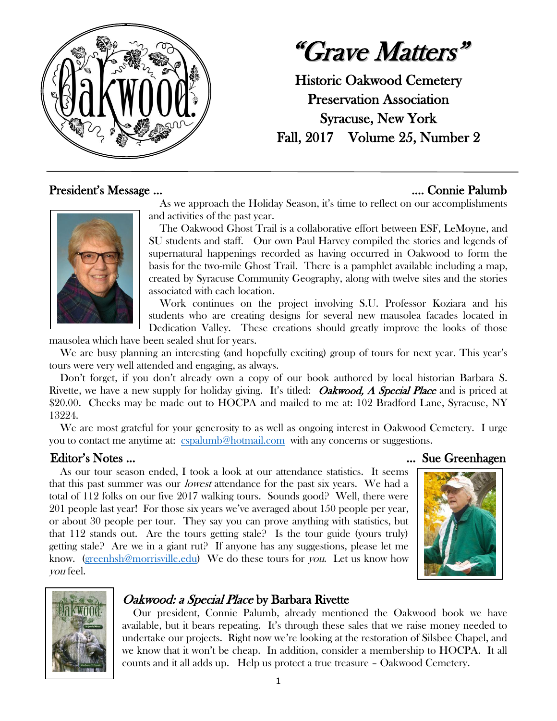

"Grave Matters"

Historic Oakwood Cemetery Preservation Association Syracuse, New York Fall, 2017 Volume 25, Number 2

## President's Message ... **Exercise 2018** 2019 2019 2021 2022 2023 2024 2022 2023 2024 2022 2023 2024 2022 2023 2024 2022 2023 2022 2023 2022 2023 2022 2023 2022 2023 2023 2023 2023 2023 2023 2023 2023 2023 2023 2023 2023 20



 As we approach the Holiday Season, it's time to reflect on our accomplishments and activities of the past year.

 The Oakwood Ghost Trail is a collaborative effort between ESF, LeMoyne, and SU students and staff. Our own Paul Harvey compiled the stories and legends of supernatural happenings recorded as having occurred in Oakwood to form the basis for the two-mile Ghost Trail. There is a pamphlet available including a map, created by Syracuse Community Geography, along with twelve sites and the stories associated with each location.

 Work continues on the project involving S.U. Professor Koziara and his students who are creating designs for several new mausolea facades located in Dedication Valley. These creations should greatly improve the looks of those

mausolea which have been sealed shut for years.

 We are busy planning an interesting (and hopefully exciting) group of tours for next year. This year's tours were very well attended and engaging, as always.

 Don't forget, if you don't already own a copy of our book authored by local historian Barbara S. Rivette, we have a new supply for holiday giving. It's titled: *Oakwood, A Special Place* and is priced at \$20.00. Checks may be made out to HOCPA and mailed to me at: 102 Bradford Lane, Syracuse, NY 13224.

We are most grateful for your generosity to as well as ongoing interest in Oakwood Cemetery. I urge you to contact me anytime at: [cspalumb@hotmail.com](mailto:cspalumb@hotmail.com) with any concerns or suggestions.

 As our tour season ended, I took a look at our attendance statistics. It seems that this past summer was our lowest attendance for the past six years. We had a total of 112 folks on our five 2017 walking tours. Sounds good? Well, there were 201 people last year! For those six years we've averaged about 150 people per year, or about 30 people per tour. They say you can prove anything with statistics, but that 112 stands out. Are the tours getting stale? Is the tour guide (yours truly) getting stale? Are we in a giant rut? If anyone has any suggestions, please let me know. [\(greenhsh@morrisville.edu\)](mailto:greenhsh@morrisville.edu) We do these tours for you. Let us know how you feel.







## Oakwood: a Special Place by Barbara Rivette

 Our president, Connie Palumb, already mentioned the Oakwood book we have available, but it bears repeating. It's through these sales that we raise money needed to undertake our projects. Right now we're looking at the restoration of Silsbee Chapel, and we know that it won't be cheap. In addition, consider a membership to HOCPA. It all counts and it all adds up. Help us protect a true treasure – Oakwood Cemetery.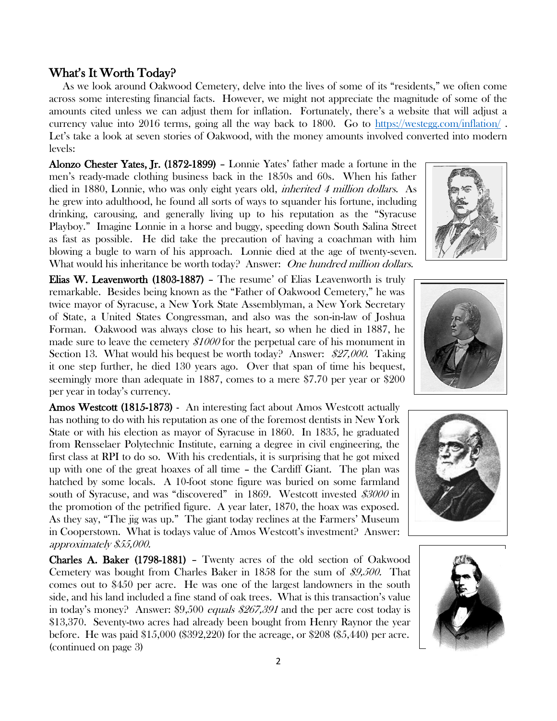# What's It Worth Today?

 As we look around Oakwood Cemetery, delve into the lives of some of its "residents," we often come across some interesting financial facts. However, we might not appreciate the magnitude of some of the amounts cited unless we can adjust them for inflation. Fortunately, there's a website that will adjust a currency value into 2016 terms, going all the way back to 1800. Go to<https://westegg.com/inflation/> . Let's take a look at seven stories of Oakwood, with the money amounts involved converted into modern levels:

Alonzo Chester Yates, Jr. (1872-1899) – Lonnie Yates' father made a fortune in the men's ready-made clothing business back in the 1850s and 60s. When his father died in 1880, Lonnie, who was only eight years old, inherited 4 million dollars. As he grew into adulthood, he found all sorts of ways to squander his fortune, including drinking, carousing, and generally living up to his reputation as the "Syracuse Playboy." Imagine Lonnie in a horse and buggy, speeding down South Salina Street as fast as possible. He did take the precaution of having a coachman with him blowing a bugle to warn of his approach. Lonnie died at the age of twenty-seven. What would his inheritance be worth today? Answer: One hundred million dollars.

Elias W. Leavenworth (1803-1887) – The resume' of Elias Leavenworth is truly remarkable. Besides being known as the "Father of Oakwood Cemetery," he was twice mayor of Syracuse, a New York State Assemblyman, a New York Secretary of State, a United States Congressman, and also was the son-in-law of Joshua Forman. Oakwood was always close to his heart, so when he died in 1887, he made sure to leave the cemetery \$1000 for the perpetual care of his monument in Section 13. What would his bequest be worth today? Answer: \$27,000. Taking it one step further, he died 130 years ago. Over that span of time his bequest, seemingly more than adequate in 1887, comes to a mere \$7.70 per year or \$200 per year in today's currency.

Amos Westcott (1815-1873) - An interesting fact about Amos Westcott actually has nothing to do with his reputation as one of the foremost dentists in New York State or with his election as mayor of Syracuse in 1860. In 1835, he graduated from Rensselaer Polytechnic Institute, earning a degree in civil engineering, the first class at RPI to do so. With his credentials, it is surprising that he got mixed up with one of the great hoaxes of all time – the Cardiff Giant. The plan was hatched by some locals. A 10-foot stone figure was buried on some farmland south of Syracuse, and was "discovered" in 1869. Westcott invested \$3000 in the promotion of the petrified figure. A year later, 1870, the hoax was exposed. As they say, "The jig was up." The giant today reclines at the Farmers' Museum in Cooperstown. What is todays value of Amos Westcott's investment? Answer: approximately \$55,000.

Charles A. Baker (1798-1881) – Twenty acres of the old section of Oakwood Cemetery was bought from Charles Baker in 1858 for the sum of \$9,500. That comes out to \$450 per acre. He was one of the largest landowners in the south side, and his land included a fine stand of oak trees. What is this transaction's value in today's money? Answer: \$9,500 equals \$267,391 and the per acre cost today is \$13,370. Seventy-two acres had already been bought from Henry Raynor the year before. He was paid \$15,000 (\$392,220) for the acreage, or \$208 (\$5,440) per acre. (continued on page 3)







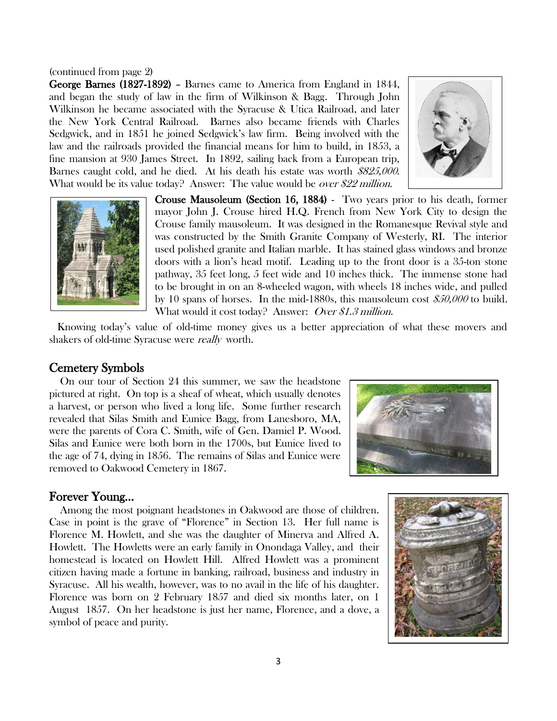#### (continued from page 2)

George Barnes (1827-1892) – Barnes came to America from England in 1844, and began the study of law in the firm of Wilkinson & Bagg. Through John Wilkinson he became associated with the Syracuse & Utica Railroad, and later the New York Central Railroad. Barnes also became friends with Charles Sedgwick, and in 1851 he joined Sedgwick's law firm. Being involved with the law and the railroads provided the financial means for him to build, in 1853, a fine mansion at 930 James Street. In 1892, sailing back from a European trip, Barnes caught cold, and he died. At his death his estate was worth \$825,000. What would be its value today? Answer: The value would be *over \$22 million*.





Crouse Mausoleum (Section 16, 1884) - Two years prior to his death, former mayor John J. Crouse hired H.Q. French from New York City to design the Crouse family mausoleum. It was designed in the Romanesque Revival style and was constructed by the Smith Granite Company of Westerly, RI. The interior used polished granite and Italian marble. It has stained glass windows and bronze doors with a lion's head motif. Leading up to the front door is a 35-ton stone pathway, 35 feet long, 5 feet wide and 10 inches thick. The immense stone had to be brought in on an 8-wheeled wagon, with wheels 18 inches wide, and pulled by 10 spans of horses. In the mid-1880s, this mausoleum cost \$50,000 to build. What would it cost today? Answer: *Over \$1.3 million*.

 Knowing today's value of old-time money gives us a better appreciation of what these movers and shakers of old-time Syracuse were really worth.

#### Cemetery Symbols

 On our tour of Section 24 this summer, we saw the headstone pictured at right. On top is a sheaf of wheat, which usually denotes a harvest, or person who lived a long life. Some further research revealed that Silas Smith and Eunice Bagg, from Lanesboro, MA, were the parents of Cora C. Smith, wife of Gen. Damiel P. Wood. Silas and Eunice were both born in the 1700s, but Eunice lived to the age of 74, dying in 1856. The remains of Silas and Eunice were removed to Oakwood Cemetery in 1867.



### Forever Young…

 Among the most poignant headstones in Oakwood are those of children. Case in point is the grave of "Florence" in Section 13. Her full name is Florence M. Howlett, and she was the daughter of Minerva and Alfred A. Howlett. The Howletts were an early family in Onondaga Valley, and their homestead is located on Howlett Hill. Alfred Howlett was a prominent citizen having made a fortune in banking, railroad, business and industry in Syracuse. All his wealth, however, was to no avail in the life of his daughter. Florence was born on 2 February 1857 and died six months later, on 1 August 1857. On her headstone is just her name, Florence, and a dove, a symbol of peace and purity.

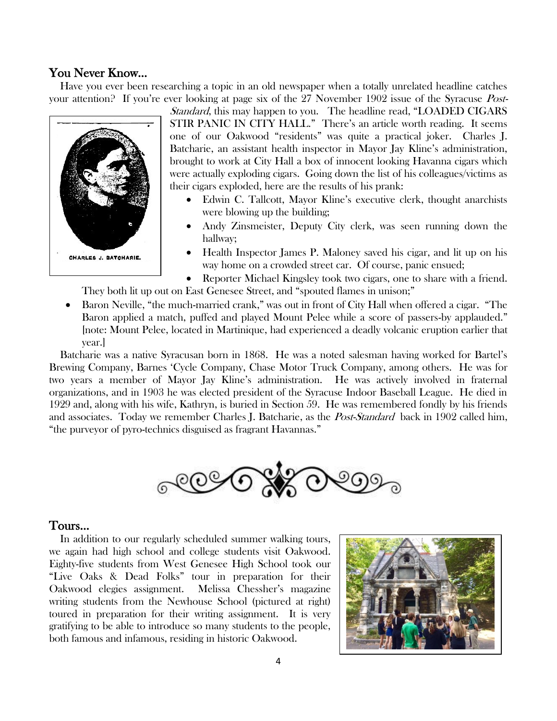### You Never Know…

 Have you ever been researching a topic in an old newspaper when a totally unrelated headline catches your attention? If you're ever looking at page six of the 27 November 1902 issue of the Syracuse *Post-*



Standard, this may happen to you. The headline read, "LOADED CIGARS STIR PANIC IN CITY HALL." There's an article worth reading. It seems one of our Oakwood "residents" was quite a practical joker. Charles J. Batcharie, an assistant health inspector in Mayor Jay Kline's administration, brought to work at City Hall a box of innocent looking Havanna cigars which were actually exploding cigars. Going down the list of his colleagues/victims as their cigars exploded, here are the results of his prank:

- Edwin C. Tallcott, Mayor Kline's executive clerk, thought anarchists were blowing up the building;
- Andy Zinsmeister, Deputy City clerk, was seen running down the hallway;
- Health Inspector James P. Maloney saved his cigar, and lit up on his way home on a crowded street car. Of course, panic ensued;
- Reporter Michael Kingsley took two cigars, one to share with a friend.

They both lit up out on East Genesee Street, and "spouted flames in unison;"

• Baron Neville, "the much-married crank," was out in front of City Hall when offered a cigar. "The Baron applied a match, puffed and played Mount Pelee while a score of passers-by applauded." [note: Mount Pelee, located in Martinique, had experienced a deadly volcanic eruption earlier that year.]

 Batcharie was a native Syracusan born in 1868. He was a noted salesman having worked for Bartel's Brewing Company, Barnes 'Cycle Company, Chase Motor Truck Company, among others. He was for two years a member of Mayor Jay Kline's administration. He was actively involved in fraternal organizations, and in 1903 he was elected president of the Syracuse Indoor Baseball League. He died in 1929 and, along with his wife, Kathryn, is buried in Section 59. He was remembered fondly by his friends and associates. Today we remember Charles J. Batcharie, as the *Post-Standard* back in 1902 called him, "the purveyor of pyro-technics disguised as fragrant Havannas."



### Tours…

 In addition to our regularly scheduled summer walking tours, we again had high school and college students visit Oakwood. Eighty-five students from West Genesee High School took our "Live Oaks & Dead Folks" tour in preparation for their Oakwood elegies assignment. Melissa Chessher's magazine writing students from the Newhouse School (pictured at right) toured in preparation for their writing assignment. It is very gratifying to be able to introduce so many students to the people, both famous and infamous, residing in historic Oakwood.

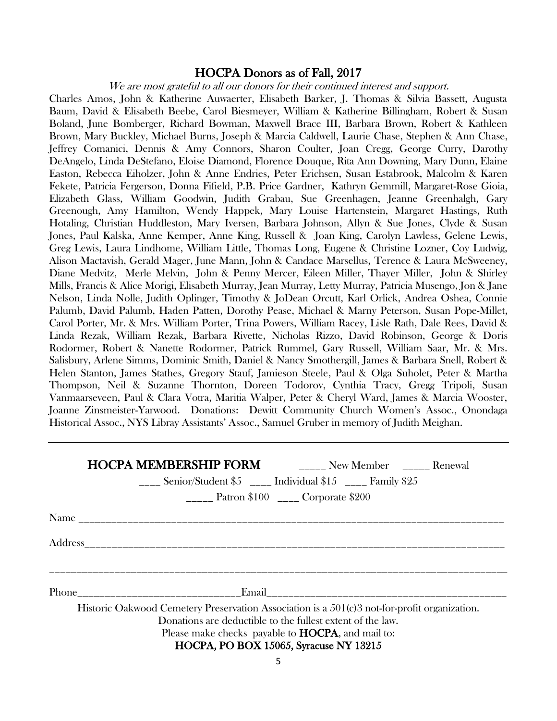### HOCPA Donors as of Fall, 2017

We are most grateful to all our donors for their continued interest and support.

Charles Amos, John & Katherine Auwaerter, Elisabeth Barker, J. Thomas & Silvia Bassett, Augusta Baum, David & Elisabeth Beebe, Carol Biesmeyer, William & Katherine Billingham, Robert & Susan Boland, June Bomberger, Richard Bowman, Maxwell Brace III, Barbara Brown, Robert & Kathleen Brown, Mary Buckley, Michael Burns, Joseph & Marcia Caldwell, Laurie Chase, Stephen & Ann Chase, Jeffrey Comanici, Dennis & Amy Connors, Sharon Coulter, Joan Cregg, George Curry, Darothy DeAngelo, Linda DeStefano, Eloise Diamond, Florence Douque, Rita Ann Downing, Mary Dunn, Elaine Easton, Rebecca Eiholzer, John & Anne Endries, Peter Erichsen, Susan Estabrook, Malcolm & Karen Fekete, Patricia Fergerson, Donna Fifield, P.B. Price Gardner, Kathryn Gemmill, Margaret-Rose Gioia, Elizabeth Glass, William Goodwin, Judith Grabau, Sue Greenhagen, Jeanne Greenhalgh, Gary Greenough, Amy Hamilton, Wendy Happek, Mary Louise Hartenstein, Margaret Hastings, Ruth Hotaling, Christian Huddleston, Mary Iversen, Barbara Johnson, Allyn & Sue Jones, Clyde & Susan Jones, Paul Kalska, Anne Kemper, Anne King, Russell & Joan King, Carolyn Lawless, Gelene Lewis, Greg Lewis, Laura Lindhome, William Little, Thomas Long, Eugene & Christine Lozner, Coy Ludwig, Alison Mactavish, Gerald Mager, June Mann, John & Candace Marsellus, Terence & Laura McSweeney, Diane Medvitz, Merle Melvin, John & Penny Mercer, Eileen Miller, Thayer Miller, John & Shirley Mills, Francis & Alice Morigi, Elisabeth Murray, Jean Murray, Letty Murray, Patricia Musengo, Jon & Jane Nelson, Linda Nolle, Judith Oplinger, Timothy & JoDean Orcutt, Karl Orlick, Andrea Oshea, Connie Palumb, David Palumb, Haden Patten, Dorothy Pease, Michael & Marny Peterson, Susan Pope-Millet, Carol Porter, Mr. & Mrs. William Porter, Trina Powers, William Racey, Lisle Rath, Dale Rees, David & Linda Rezak, William Rezak, Barbara Rivette, Nicholas Rizzo, David Robinson, George & Doris Rodormer, Robert & Nanette Rodormer, Patrick Rummel, Gary Russell, William Saar, Mr. & Mrs. Salisbury, Arlene Simms, Dominic Smith, Daniel & Nancy Smothergill, James & Barbara Snell, Robert & Helen Stanton, James Stathes, Gregory Stauf, Jamieson Steele, Paul & Olga Suholet, Peter & Martha Thompson, Neil & Suzanne Thornton, Doreen Todorov, Cynthia Tracy, Gregg Tripoli, Susan Vanmaarseveen, Paul & Clara Votra, Maritia Walper, Peter & Cheryl Ward, James & Marcia Wooster, Joanne Zinsmeister-Yarwood. Donations: Dewitt Community Church Women's Assoc., Onondaga Historical Assoc., NYS Libray Assistants' Assoc., Samuel Gruber in memory of Judith Meighan.

|                                                                                                                                                                                                                                                                   | <b>HOCPA MEMBERSHIP FORM</b> ______ New Member _____ Renewal<br>$\frac{1}{2}$ Senior/Student \$5 $\frac{1}{2}$ Individual \$15 $\frac{1}{2}$ Family \$25 | <b>Patron</b> \$100 ____ Corporate \$200 |  |
|-------------------------------------------------------------------------------------------------------------------------------------------------------------------------------------------------------------------------------------------------------------------|----------------------------------------------------------------------------------------------------------------------------------------------------------|------------------------------------------|--|
|                                                                                                                                                                                                                                                                   |                                                                                                                                                          |                                          |  |
|                                                                                                                                                                                                                                                                   |                                                                                                                                                          |                                          |  |
|                                                                                                                                                                                                                                                                   |                                                                                                                                                          |                                          |  |
| Historic Oakwood Cemetery Preservation Association is a 501(c)3 not-for-profit organization.<br>Donations are deductible to the fullest extent of the law.<br>Please make checks payable to <b>HOCPA</b> , and mail to:<br>HOCPA, PO BOX 15065, Syracuse NY 13215 |                                                                                                                                                          |                                          |  |